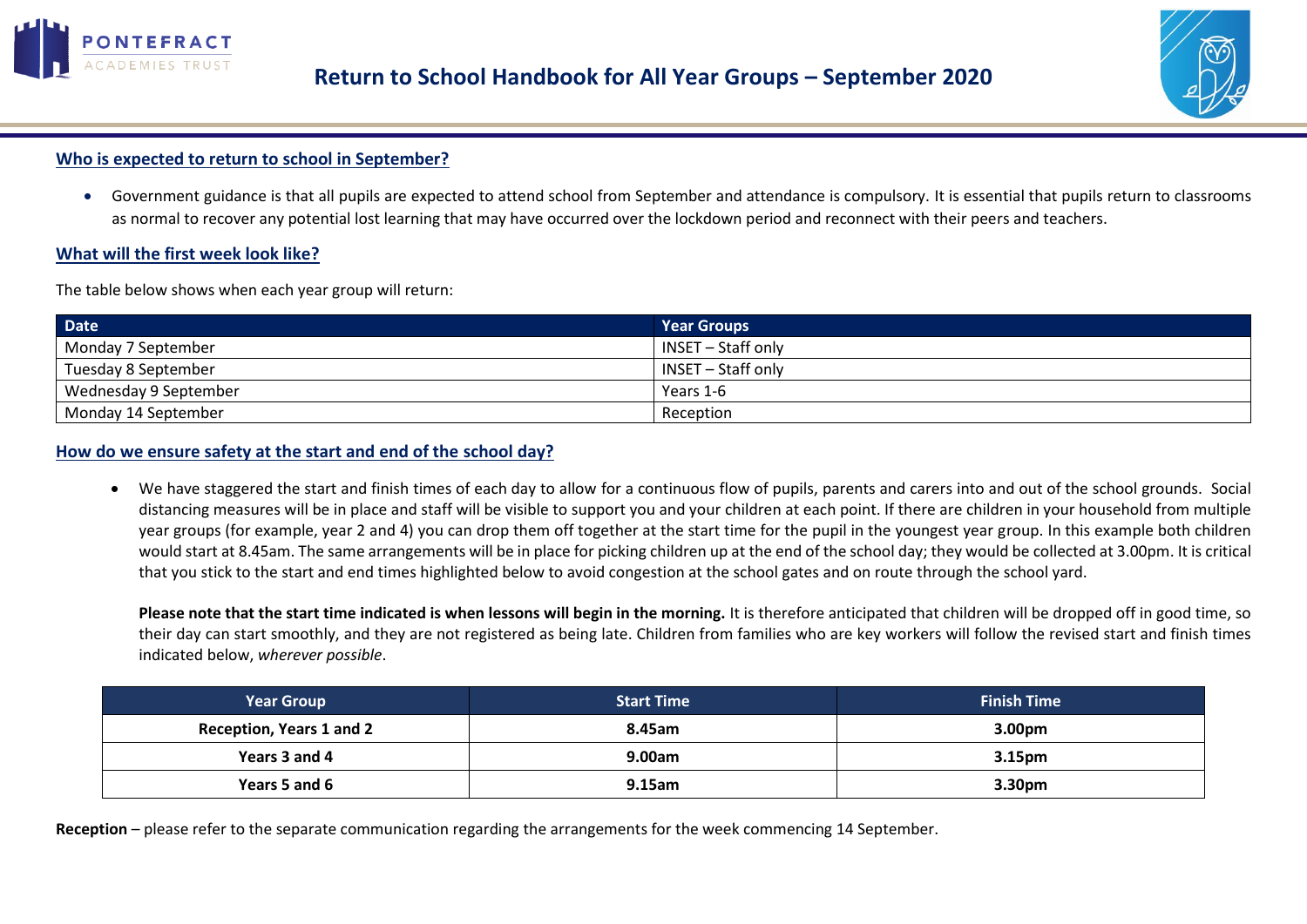



# **Who is expected to return to school in September?**

 Government guidance is that all pupils are expected to attend school from September and attendance is compulsory. It is essential that pupils return to classrooms as normal to recover any potential lost learning that may have occurred over the lockdown period and reconnect with their peers and teachers.

### **What will the first week look like?**

The table below shows when each year group will return:

| <b>Date</b>           | <b>Year Groups</b> |
|-----------------------|--------------------|
| Monday 7 September    | INSET – Staff only |
| Tuesday 8 September   | INSET – Staff only |
| Wednesday 9 September | Years 1-6          |
| Monday 14 September   | Reception          |

### **How do we ensure safety at the start and end of the school day?**

 We have staggered the start and finish times of each day to allow for a continuous flow of pupils, parents and carers into and out of the school grounds. Social distancing measures will be in place and staff will be visible to support you and your children at each point. If there are children in your household from multiple year groups (for example, year 2 and 4) you can drop them off together at the start time for the pupil in the youngest year group. In this example both children would start at 8.45am. The same arrangements will be in place for picking children up at the end of the school day; they would be collected at 3.00pm. It is critical that you stick to the start and end times highlighted below to avoid congestion at the school gates and on route through the school yard.

**Please note that the start time indicated is when lessons will begin in the morning.** It is therefore anticipated that children will be dropped off in good time, so their day can start smoothly, and they are not registered as being late. Children from families who are key workers will follow the revised start and finish times indicated below, *wherever possible*.

| <b>Year Group</b>               | <b>Start Time</b> | <b>Finish Time</b> |
|---------------------------------|-------------------|--------------------|
| <b>Reception, Years 1 and 2</b> | 8.45am            | 3.00 <sub>pm</sub> |
| Years 3 and 4                   | 9.00am            | 3.15 <sub>pm</sub> |
| Years 5 and 6                   | $9.15$ am         | 3.30 <sub>pm</sub> |

**Reception** – please refer to the separate communication regarding the arrangements for the week commencing 14 September.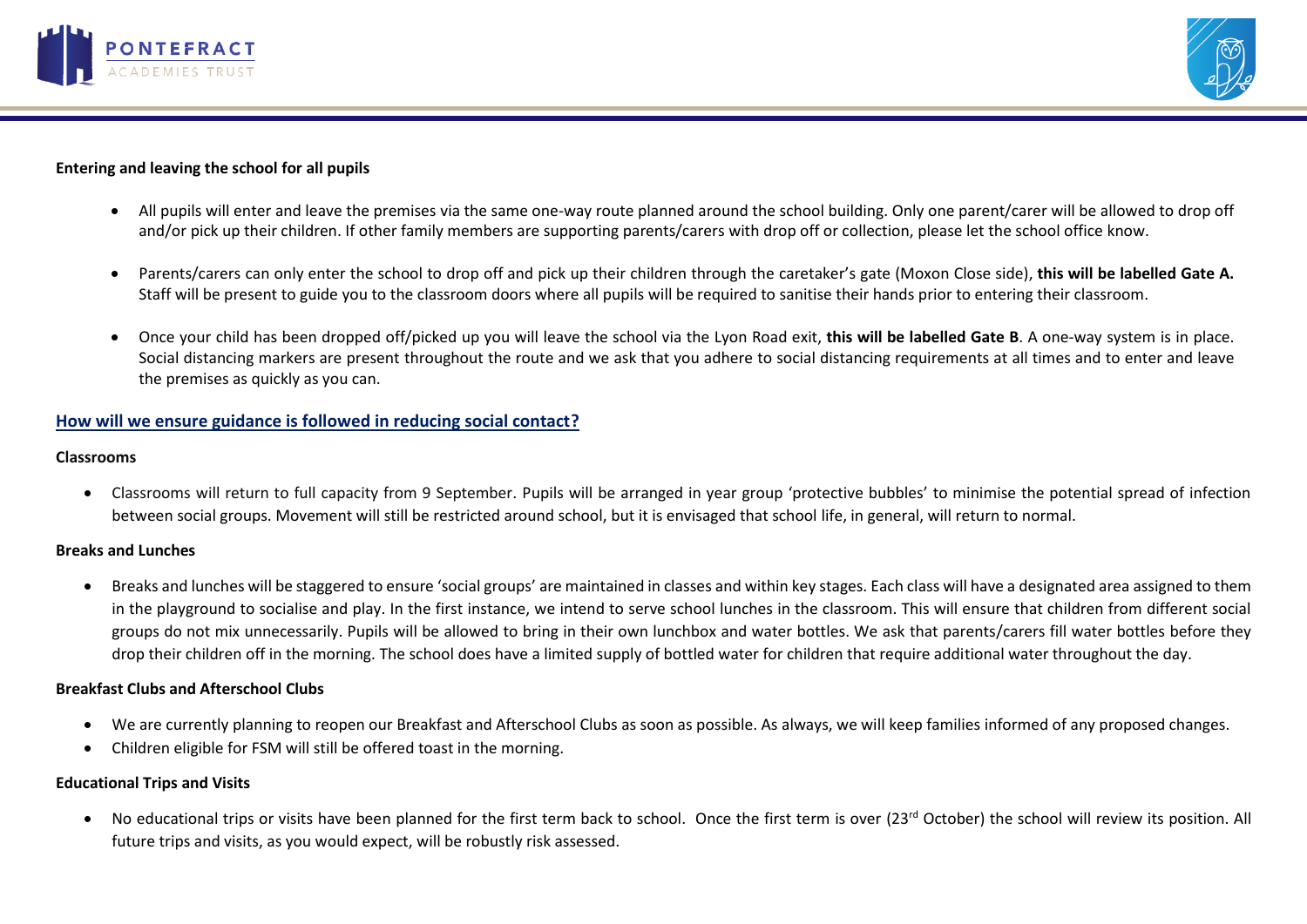



### **Entering and leaving the school for all pupils**

- All pupils will enter and leave the premises via the same one-way route planned around the school building. Only one parent/carer will be allowed to drop off and/or pick up their children. If other family members are supporting parents/carers with drop off or collection, please let the school office know.
- Parents/carers can only enter the school to drop off and pick up their children through the caretaker's gate (Moxon Close side), **this will be labelled Gate A.** Staff will be present to guide you to the classroom doors where all pupils will be required to sanitise their hands prior to entering their classroom.
- Once your child has been dropped off/picked up you will leave the school via the Lyon Road exit, **this will be labelled Gate B**. A one-way system is in place. Social distancing markers are present throughout the route and we ask that you adhere to social distancing requirements at all times and to enter and leave the premises as quickly as you can.

## **How will we ensure guidance is followed in reducing social contact?**

#### **Classrooms**

 Classrooms will return to full capacity from 9 September. Pupils will be arranged in year group 'protective bubbles' to minimise the potential spread of infection between social groups. Movement will still be restricted around school, but it is envisaged that school life, in general, will return to normal.

#### **Breaks and Lunches**

 Breaks and lunches will be staggered to ensure 'social groups' are maintained in classes and within key stages. Each class will have a designated area assigned to them in the playground to socialise and play. In the first instance, we intend to serve school lunches in the classroom. This will ensure that children from different social groups do not mix unnecessarily. Pupils will be allowed to bring in their own lunchbox and water bottles. We ask that parents/carers fill water bottles before they drop their children off in the morning. The school does have a limited supply of bottled water for children that require additional water throughout the day.

#### **Breakfast Clubs and Afterschool Clubs**

- We are currently planning to reopen our Breakfast and Afterschool Clubs as soon as possible. As always, we will keep families informed of any proposed changes.
- Children eligible for FSM will still be offered toast in the morning.

## **Educational Trips and Visits**

• No educational trips or visits have been planned for the first term back to school. Once the first term is over (23<sup>rd</sup> October) the school will review its position. All future trips and visits, as you would expect, will be robustly risk assessed.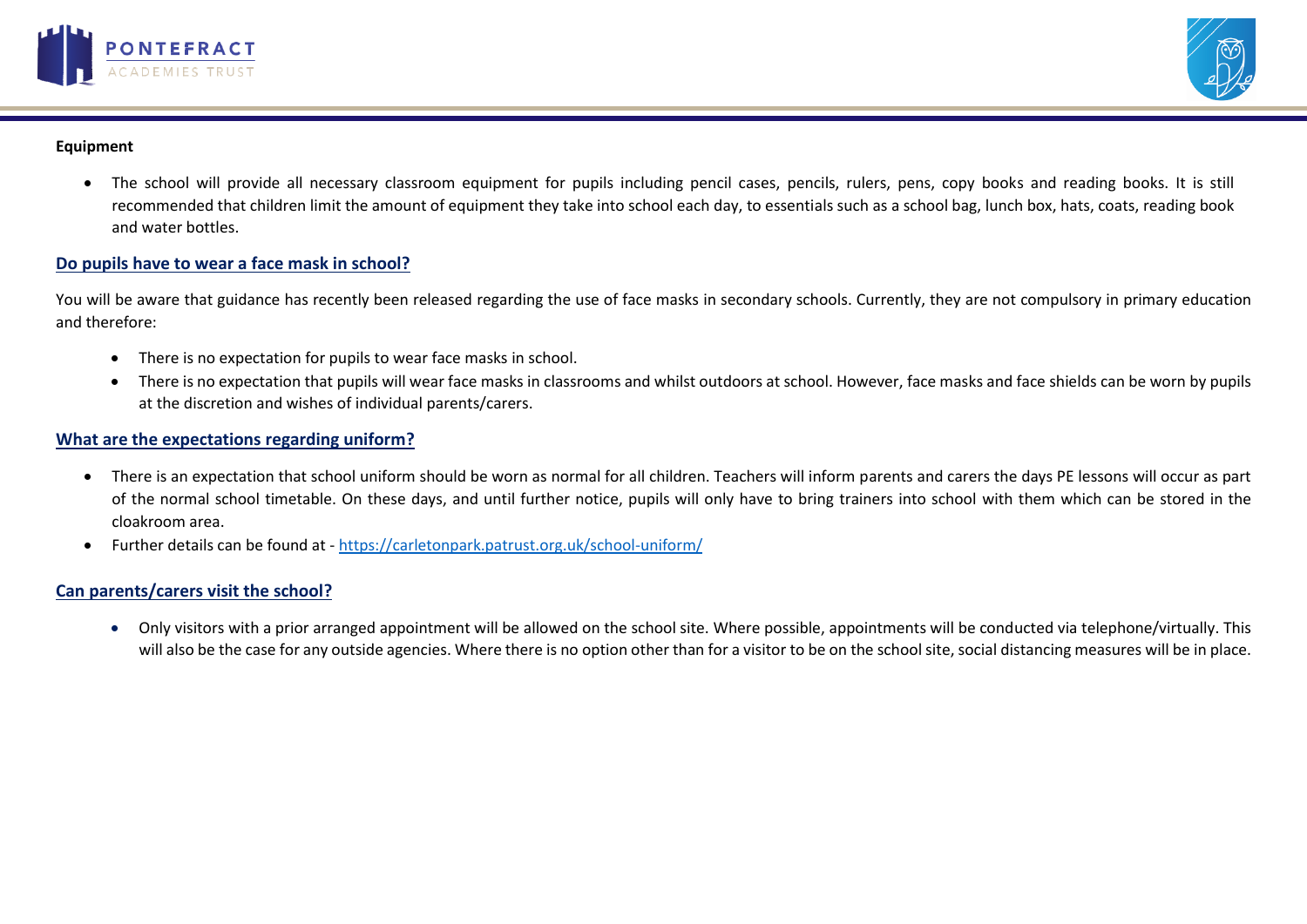



#### **Equipment**

• The school will provide all necessary classroom equipment for pupils including pencil cases, pencils, rulers, pens, copy books and reading books. It is still recommended that children limit the amount of equipment they take into school each day, to essentials such as a school bag, lunch box, hats, coats, reading book and water bottles.

## **Do pupils have to wear a face mask in school?**

You will be aware that guidance has recently been released regarding the use of face masks in secondary schools. Currently, they are not compulsory in primary education and therefore:

- There is no expectation for pupils to wear face masks in school.
- There is no expectation that pupils will wear face masks in classrooms and whilst outdoors at school. However, face masks and face shields can be worn by pupils at the discretion and wishes of individual parents/carers.

#### **What are the expectations regarding uniform?**

- There is an expectation that school uniform should be worn as normal for all children. Teachers will inform parents and carers the days PE lessons will occur as part of the normal school timetable. On these days, and until further notice, pupils will only have to bring trainers into school with them which can be stored in the cloakroom area.
- Further details can be found at <https://carletonpark.patrust.org.uk/school-uniform/>

## **Can parents/carers visit the school?**

 Only visitors with a prior arranged appointment will be allowed on the school site. Where possible, appointments will be conducted via telephone/virtually. This will also be the case for any outside agencies. Where there is no option other than for a visitor to be on the school site, social distancing measures will be in place.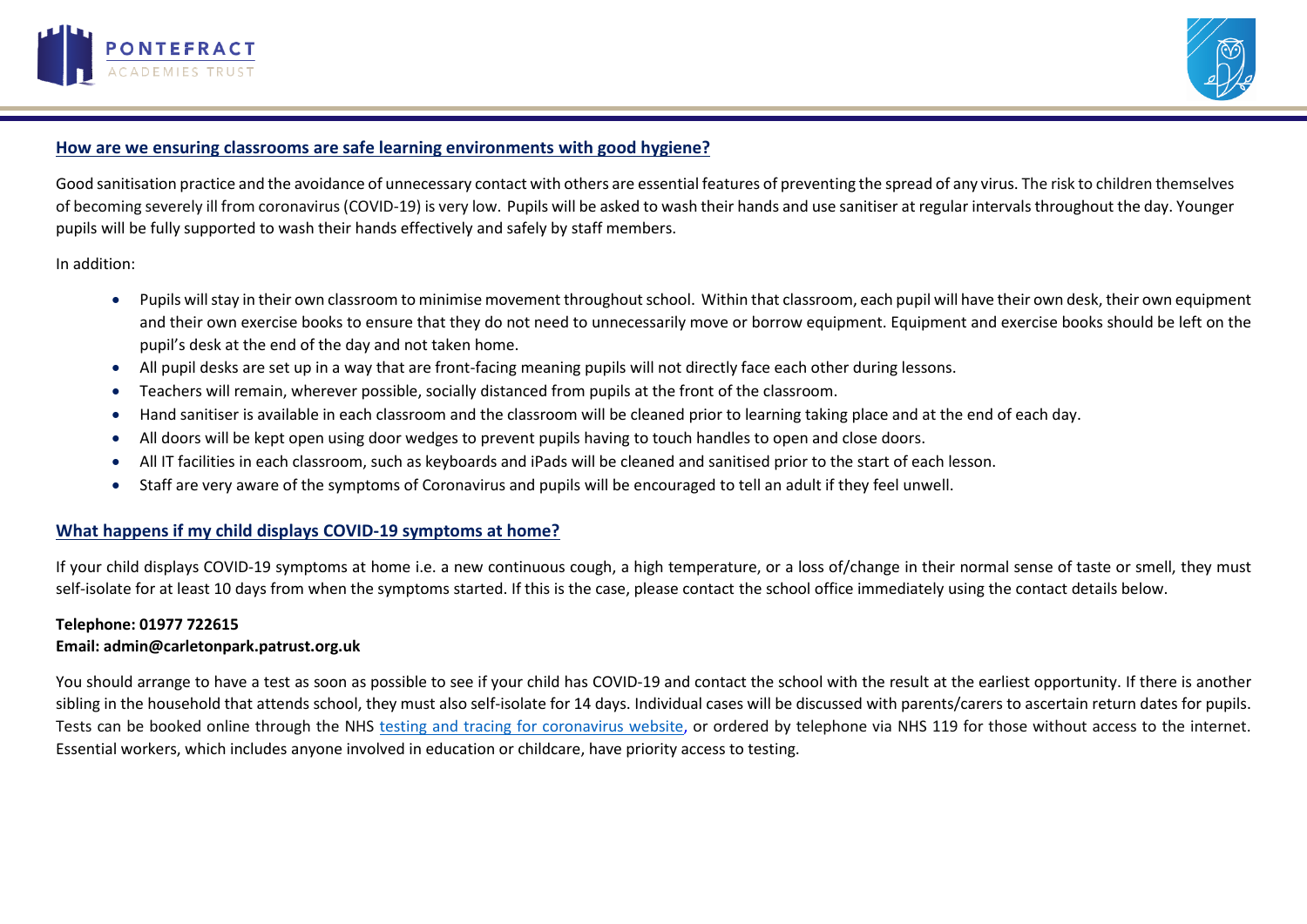



# **How are we ensuring classrooms are safe learning environments with good hygiene?**

Good sanitisation practice and the avoidance of unnecessary contact with others are essential features of preventing the spread of any virus. The risk to children themselves of becoming severely ill from coronavirus (COVID-19) is very low. Pupils will be asked to wash their hands and use sanitiser at regular intervals throughout the day. Younger pupils will be fully supported to wash their hands effectively and safely by staff members.

In addition:

- Pupils will stay in their own classroom to minimise movement throughout school. Within that classroom, each pupil will have their own desk, their own equipment and their own exercise books to ensure that they do not need to unnecessarily move or borrow equipment. Equipment and exercise books should be left on the pupil's desk at the end of the day and not taken home.
- All pupil desks are set up in a way that are front-facing meaning pupils will not directly face each other during lessons.
- Teachers will remain, wherever possible, socially distanced from pupils at the front of the classroom.
- Hand sanitiser is available in each classroom and the classroom will be cleaned prior to learning taking place and at the end of each day.
- All doors will be kept open using door wedges to prevent pupils having to touch handles to open and close doors.
- All IT facilities in each classroom, such as keyboards and iPads will be cleaned and sanitised prior to the start of each lesson.
- Staff are very aware of the symptoms of Coronavirus and pupils will be encouraged to tell an adult if they feel unwell.

## **What happens if my child displays COVID-19 symptoms at home?**

If your child displays COVID-19 symptoms at home i.e. a new continuous cough, a high temperature, or a loss of/change in their normal sense of taste or smell, they must self-isolate for at least 10 days from when the symptoms started. If this is the case, please contact the school office immediately using the contact details below.

#### **Telephone: 01977 722615**

#### **Email: admin@carletonpark.patrust.org.uk**

You should arrange to have a test as soon as possible to see if your child has COVID-19 and contact the school with the result at the earliest opportunity. If there is another sibling in the household that attends school, they must also self-isolate for 14 days. Individual cases will be discussed with parents/carers to ascertain return dates for pupils. Tests can be booked online through the NHS testing and tracing for [coronavirus](https://www.nhs.uk/conditions/coronavirus-covid-19/testing-for-coronavirus/) website, or ordered by telephone via NHS 119 for those without access to the internet. Essential workers, which includes anyone involved in education or childcare, have priority access to testing.